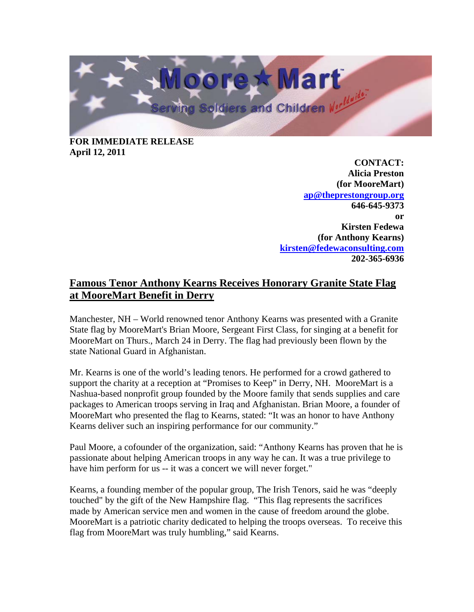

## **FOR IMMEDIATE RELEASE April 12, 2011**

**CONTACT: Alicia Preston (for MooreMart) ap@theprestongroup.org 646-645-9373 or Kirsten Fedewa (for Anthony Kearns) kirsten@fedewaconsulting.com 202-365-6936** 

## **Famous Tenor Anthony Kearns Receives Honorary Granite State Flag at MooreMart Benefit in Derry**

Manchester, NH – World renowned tenor Anthony Kearns was presented with a Granite State flag by MooreMart's Brian Moore, Sergeant First Class, for singing at a benefit for MooreMart on Thurs., March 24 in Derry. The flag had previously been flown by the state National Guard in Afghanistan.

Mr. Kearns is one of the world's leading tenors. He performed for a crowd gathered to support the charity at a reception at "Promises to Keep" in Derry, NH. MooreMart is a Nashua-based nonprofit group founded by the Moore family that sends supplies and care packages to American troops serving in Iraq and Afghanistan. Brian Moore, a founder of MooreMart who presented the flag to Kearns, stated: "It was an honor to have Anthony Kearns deliver such an inspiring performance for our community."

Paul Moore, a cofounder of the organization, said: "Anthony Kearns has proven that he is passionate about helping American troops in any way he can. It was a true privilege to have him perform for us -- it was a concert we will never forget."

Kearns, a founding member of the popular group, The Irish Tenors, said he was "deeply touched" by the gift of the New Hampshire flag. "This flag represents the sacrifices made by American service men and women in the cause of freedom around the globe. MooreMart is a patriotic charity dedicated to helping the troops overseas. To receive this flag from MooreMart was truly humbling," said Kearns.